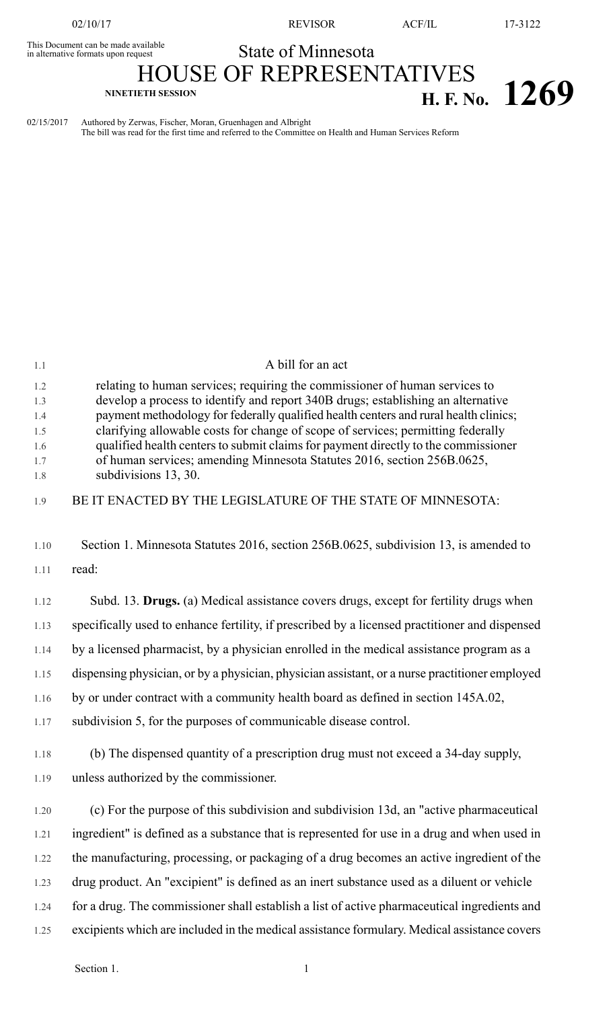This Document can be made available<br>in alternative formats upon request

02/10/17 REVISOR ACF/IL 17-3122

## State of Minnesota

## HOUSE OF REPRESENTATIVES **NINETIETH SESSION H. F. No. 1269**

02/15/2017 Authored by Zerwas, Fischer, Moran, Gruenhagen and Albright The bill was read for the first time and referred to the Committee on Health and Human Services Reform

| 1.1                                           | A bill for an act                                                                                                                                                                                                                                                                                                                                                                                                                                                                                                                    |
|-----------------------------------------------|--------------------------------------------------------------------------------------------------------------------------------------------------------------------------------------------------------------------------------------------------------------------------------------------------------------------------------------------------------------------------------------------------------------------------------------------------------------------------------------------------------------------------------------|
| 1.2<br>1.3<br>1.4<br>1.5<br>1.6<br>1.7<br>1.8 | relating to human services; requiring the commissioner of human services to<br>develop a process to identify and report 340B drugs; establishing an alternative<br>payment methodology for federally qualified health centers and rural health clinics;<br>clarifying allowable costs for change of scope of services; permitting federally<br>qualified health centers to submit claims for payment directly to the commissioner<br>of human services; amending Minnesota Statutes 2016, section 256B.0625,<br>subdivisions 13, 30. |
| 1.9                                           | BE IT ENACTED BY THE LEGISLATURE OF THE STATE OF MINNESOTA:                                                                                                                                                                                                                                                                                                                                                                                                                                                                          |
| 1.10                                          | Section 1. Minnesota Statutes 2016, section 256B.0625, subdivision 13, is amended to                                                                                                                                                                                                                                                                                                                                                                                                                                                 |
| 1.11                                          | read:                                                                                                                                                                                                                                                                                                                                                                                                                                                                                                                                |
| 1.12                                          | Subd. 13. Drugs. (a) Medical assistance covers drugs, except for fertility drugs when                                                                                                                                                                                                                                                                                                                                                                                                                                                |
| 1.13                                          | specifically used to enhance fertility, if prescribed by a licensed practitioner and dispensed                                                                                                                                                                                                                                                                                                                                                                                                                                       |
| 1.14                                          | by a licensed pharmacist, by a physician enrolled in the medical assistance program as a                                                                                                                                                                                                                                                                                                                                                                                                                                             |
| 1.15                                          | dispensing physician, or by a physician, physician assistant, or a nurse practitioner employed                                                                                                                                                                                                                                                                                                                                                                                                                                       |
| 1.16                                          | by or under contract with a community health board as defined in section 145A.02,                                                                                                                                                                                                                                                                                                                                                                                                                                                    |
| 1.17                                          | subdivision 5, for the purposes of communicable disease control.                                                                                                                                                                                                                                                                                                                                                                                                                                                                     |
| 1.18                                          | (b) The dispensed quantity of a prescription drug must not exceed a 34-day supply,                                                                                                                                                                                                                                                                                                                                                                                                                                                   |
| 1.19                                          | unless authorized by the commissioner.                                                                                                                                                                                                                                                                                                                                                                                                                                                                                               |
| 1.20                                          | (c) For the purpose of this subdivision and subdivision 13d, an "active pharmaceutical                                                                                                                                                                                                                                                                                                                                                                                                                                               |
| 1.21                                          | ingredient" is defined as a substance that is represented for use in a drug and when used in                                                                                                                                                                                                                                                                                                                                                                                                                                         |
| 1.22                                          | the manufacturing, processing, or packaging of a drug becomes an active ingredient of the                                                                                                                                                                                                                                                                                                                                                                                                                                            |
| 1.23                                          | drug product. An "excipient" is defined as an inert substance used as a diluent or vehicle                                                                                                                                                                                                                                                                                                                                                                                                                                           |
| 1.24                                          | for a drug. The commissioner shall establish a list of active pharmaceutical ingredients and                                                                                                                                                                                                                                                                                                                                                                                                                                         |
| 1.25                                          | excipients which are included in the medical assistance formulary. Medical assistance covers                                                                                                                                                                                                                                                                                                                                                                                                                                         |
|                                               |                                                                                                                                                                                                                                                                                                                                                                                                                                                                                                                                      |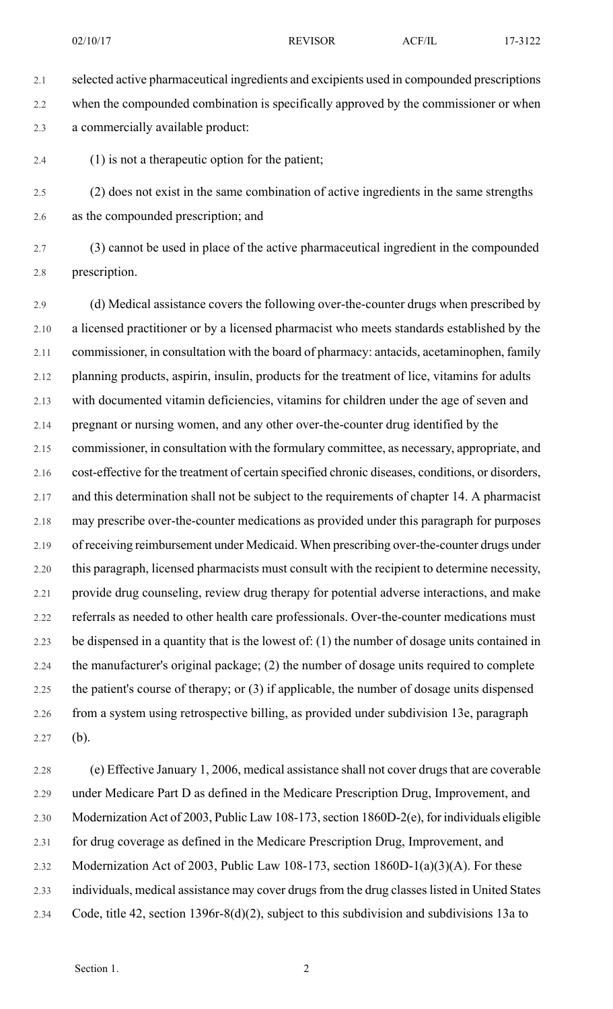2.1 selected active pharmaceutical ingredients and excipients used in compounded prescriptions 2.2 when the compounded combination is specifically approved by the commissioner or when 2.3 a commercially available product:

2.4 (1) is not a therapeutic option for the patient;

2.5 (2) does not exist in the same combination of active ingredients in the same strengths 2.6 as the compounded prescription; and

2.7 (3) cannot be used in place of the active pharmaceutical ingredient in the compounded 2.8 prescription.

2.9 (d) Medical assistance covers the following over-the-counter drugs when prescribed by 2.10 a licensed practitioner or by a licensed pharmacist who meets standards established by the 2.11 commissioner, in consultation with the board of pharmacy: antacids, acetaminophen, family 2.12 planning products, aspirin, insulin, products for the treatment of lice, vitamins for adults 2.13 with documented vitamin deficiencies, vitamins for children under the age of seven and 2.14 pregnant or nursing women, and any other over-the-counter drug identified by the 2.15 commissioner, in consultation with the formulary committee, as necessary, appropriate, and 2.16 cost-effective for the treatment of certain specified chronic diseases, conditions, or disorders, 2.17 and this determination shall not be subject to the requirements of chapter 14. A pharmacist 2.18 may prescribe over-the-counter medications as provided under this paragraph for purposes 2.19 of receiving reimbursement under Medicaid. When prescribing over-the-counter drugs under 2.20 this paragraph, licensed pharmacists must consult with the recipient to determine necessity, 2.21 provide drug counseling, review drug therapy for potential adverse interactions, and make 2.22 referrals as needed to other health care professionals. Over-the-counter medications must 2.23 be dispensed in a quantity that is the lowest of: (1) the number of dosage units contained in 2.24 the manufacturer's original package; (2) the number of dosage units required to complete 2.25 the patient's course of therapy; or (3) if applicable, the number of dosage units dispensed 2.26 from a system using retrospective billing, as provided under subdivision 13e, paragraph 2.27 (b).

2.28 (e) Effective January 1, 2006, medical assistance shall not cover drugs that are coverable 2.29 under Medicare Part D as defined in the Medicare Prescription Drug, Improvement, and 2.30 Modernization Act of 2003, Public Law 108-173, section 1860D-2(e), for individuals eligible 2.31 for drug coverage as defined in the Medicare Prescription Drug, Improvement, and 2.32 Modernization Act of 2003, Public Law 108-173, section 1860D-1(a)(3)(A). For these 2.33 individuals, medical assistance may cover drugsfrom the drug classeslisted in United States 2.34 Code, title 42, section 1396r-8(d)(2), subject to this subdivision and subdivisions 13a to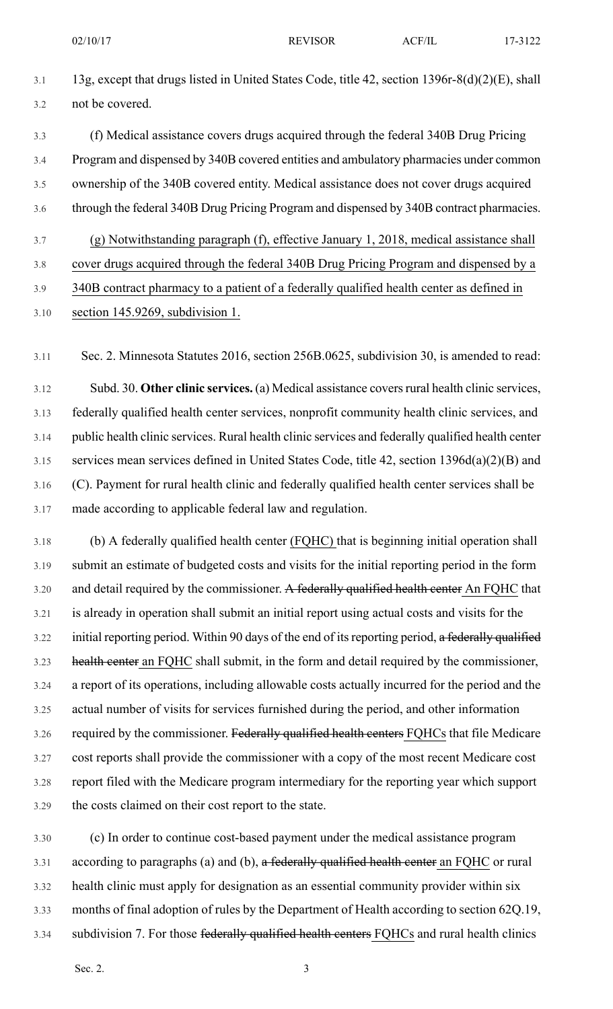- 3.1 13g, except that drugs listed in United States Code, title 42, section 1396r-8(d)(2)(E), shall 3.2 not be covered.
- 3.3 (f) Medical assistance covers drugs acquired through the federal 340B Drug Pricing 3.4 Program and dispensed by 340B covered entities and ambulatory pharmacies under common 3.5 ownership of the 340B covered entity. Medical assistance does not cover drugs acquired 3.6 through the federal 340B Drug Pricing Program and dispensed by 340B contract pharmacies.
- 3.7 (g) Notwithstanding paragraph (f), effective January 1, 2018, medical assistance shall
- 3.8 cover drugs acquired through the federal 340B Drug Pricing Program and dispensed by a
- 3.9 340B contract pharmacy to a patient of a federally qualified health center as defined in 3.10 section 145.9269, subdivision 1.

3.11 Sec. 2. Minnesota Statutes 2016, section 256B.0625, subdivision 30, is amended to read:

3.12 Subd. 30. **Other clinic services.** (a) Medical assistance coversrural health clinic services, 3.13 federally qualified health center services, nonprofit community health clinic services, and 3.14 public health clinic services. Rural health clinic services and federally qualified health center 3.15 services mean services defined in United States Code, title 42, section 1396d(a)(2)(B) and 3.16 (C). Payment for rural health clinic and federally qualified health center services shall be 3.17 made according to applicable federal law and regulation.

3.18 (b) A federally qualified health center (FQHC) that is beginning initial operation shall 3.19 submit an estimate of budgeted costs and visits for the initial reporting period in the form 3.20 and detail required by the commissioner. A federally qualified health center An FQHC that 3.21 is already in operation shall submit an initial report using actual costs and visits for the 3.22 initial reporting period. Within 90 days of the end of its reporting period, a federally qualified 3.23 health center an FQHC shall submit, in the form and detail required by the commissioner, 3.24 a report of its operations, including allowable costs actually incurred for the period and the 3.25 actual number of visits for services furnished during the period, and other information 3.26 required by the commissioner. Federally qualified health centers FQHCs that file Medicare 3.27 cost reports shall provide the commissioner with a copy of the most recent Medicare cost 3.28 report filed with the Medicare program intermediary for the reporting year which support 3.29 the costs claimed on their cost report to the state.

3.30 (c) In order to continue cost-based payment under the medical assistance program 3.31 according to paragraphs (a) and (b), a federally qualified health center an FQHC or rural 3.32 health clinic must apply for designation as an essential community provider within six 3.33 months of final adoption of rules by the Department of Health according to section 62Q.19, 3.34 subdivision 7. For those federally qualified health centers FQHCs and rural health clinics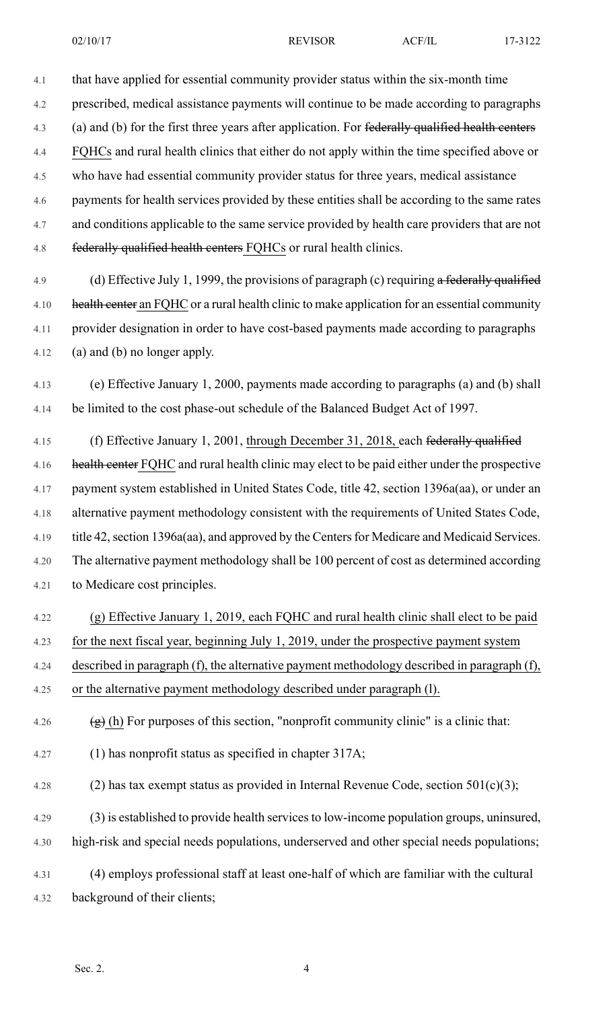4.1 that have applied for essential community provider status within the six-month time

4.2 prescribed, medical assistance payments will continue to be made according to paragraphs

4.3 (a) and (b) for the first three years after application. For federally qualified health centers

4.4 FQHCs and rural health clinics that either do not apply within the time specified above or

4.5 who have had essential community provider status for three years, medical assistance

4.6 payments for health services provided by these entities shall be according to the same rates 4.7 and conditions applicable to the same service provided by health care providers that are not 4.8 federally qualified health centers FQHCs or rural health clinics.

4.9 (d) Effective July 1, 1999, the provisions of paragraph (c) requiring a federally qualified 4.10 health center an FQHC or a rural health clinic to make application for an essential community 4.11 provider designation in order to have cost-based payments made according to paragraphs 4.12 (a) and (b) no longer apply.

4.13 (e) Effective January 1, 2000, payments made according to paragraphs (a) and (b) shall 4.14 be limited to the cost phase-out schedule of the Balanced Budget Act of 1997.

4.15 (f) Effective January 1, 2001, through December 31, 2018, each federally qualified 4.16 health center FQHC and rural health clinic may elect to be paid either under the prospective 4.17 payment system established in United States Code, title 42, section 1396a(aa), or under an 4.18 alternative payment methodology consistent with the requirements of United States Code, 4.19 title 42, section 1396a(aa), and approved by the Centers for Medicare and Medicaid Services. 4.20 The alternative payment methodology shall be 100 percent of cost as determined according 4.21 to Medicare cost principles.

4.22 (g) Effective January 1, 2019, each FQHC and rural health clinic shall elect to be paid 4.23 for the next fiscal year, beginning July 1, 2019, under the prospective payment system 4.24 described in paragraph (f), the alternative payment methodology described in paragraph (f), 4.25 or the alternative payment methodology described under paragraph (l).

4.26 (g) (h) For purposes of this section, "nonprofit community clinic" is a clinic that:

4.27 (1) has nonprofit status as specified in chapter 317A;

4.28 (2) has tax exempt status as provided in Internal Revenue Code, section  $501(c)(3)$ ;

4.29 (3) is established to provide health servicesto low-income population groups, uninsured, 4.30 high-risk and special needs populations, underserved and other special needs populations;

4.31 (4) employs professional staff at least one-half of which are familiar with the cultural 4.32 background of their clients;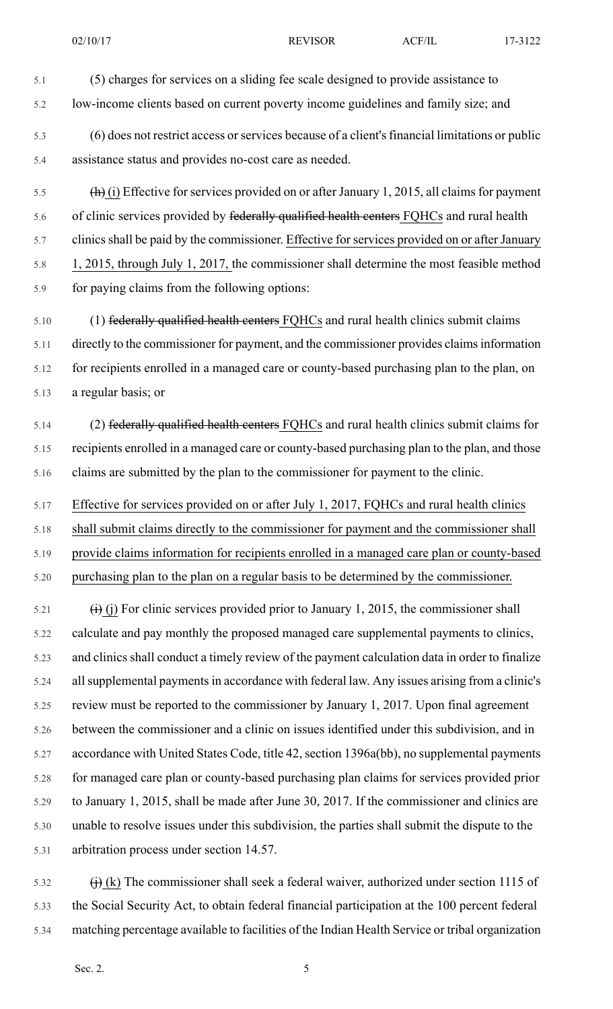5.1 (5) charges for services on a sliding fee scale designed to provide assistance to 5.2 low-income clients based on current poverty income guidelines and family size; and 5.3 (6) does not restrict access orservices because of a client'sfinancial limitations or public 5.4 assistance status and provides no-cost care as needed. 5.5 (h) (i) Effective for services provided on or after January 1, 2015, all claims for payment 5.6 of clinic services provided by federally qualified health centers FQHCs and rural health

5.7 clinics shall be paid by the commissioner. Effective for services provided on or after January

5.8 1, 2015, through July 1, 2017, the commissioner shall determine the most feasible method 5.9 for paying claims from the following options:

5.10 (1) federally qualified health centers FQHCs and rural health clinics submit claims 5.11 directly to the commissioner for payment, and the commissioner provides claimsinformation 5.12 for recipients enrolled in a managed care or county-based purchasing plan to the plan, on 5.13 a regular basis; or

5.14 (2) federally qualified health centers FQHCs and rural health clinics submit claims for 5.15 recipients enrolled in a managed care or county-based purchasing plan to the plan, and those 5.16 claims are submitted by the plan to the commissioner for payment to the clinic.

5.17 Effective for services provided on or after July 1, 2017, FQHCs and rural health clinics

5.18 shall submit claims directly to the commissioner for payment and the commissioner shall 5.19 provide claims information for recipients enrolled in a managed care plan or county-based 5.20 purchasing plan to the plan on a regular basis to be determined by the commissioner.

 $\overrightarrow{f}$  (i) For clinic services provided prior to January 1, 2015, the commissioner shall 5.22 calculate and pay monthly the proposed managed care supplemental payments to clinics, 5.23 and clinics shall conduct a timely review of the payment calculation data in order to finalize 5.24 allsupplemental paymentsin accordance with federal law. Any issues arising from a clinic's 5.25 review must be reported to the commissioner by January 1, 2017. Upon final agreement 5.26 between the commissioner and a clinic on issues identified under this subdivision, and in 5.27 accordance with United States Code, title 42, section 1396a(bb), no supplemental payments 5.28 for managed care plan or county-based purchasing plan claims for services provided prior 5.29 to January 1, 2015, shall be made after June 30, 2017. If the commissioner and clinics are 5.30 unable to resolve issues under this subdivision, the parties shall submit the dispute to the 5.31 arbitration process under section 14.57.

5.32  $\qquad$  (i) (k) The commissioner shall seek a federal waiver, authorized under section 1115 of 5.33 the Social Security Act, to obtain federal financial participation at the 100 percent federal 5.34 matching percentage available to facilities of the Indian Health Service or tribal organization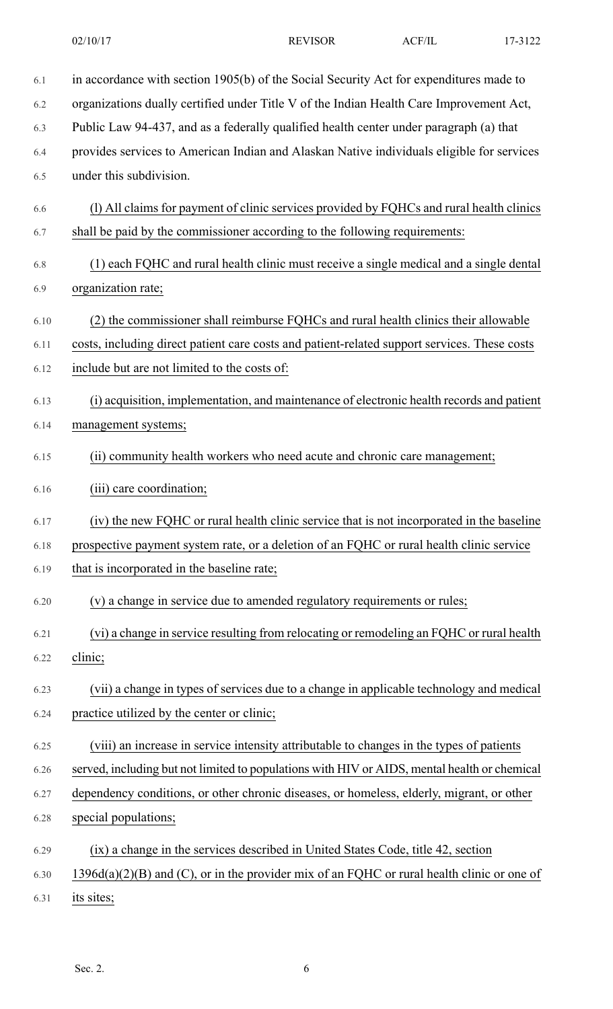| 6.1  | in accordance with section 1905(b) of the Social Security Act for expenditures made to       |
|------|----------------------------------------------------------------------------------------------|
| 6.2  | organizations dually certified under Title V of the Indian Health Care Improvement Act,      |
| 6.3  | Public Law 94-437, and as a federally qualified health center under paragraph (a) that       |
| 6.4  | provides services to American Indian and Alaskan Native individuals eligible for services    |
| 6.5  | under this subdivision.                                                                      |
| 6.6  | (1) All claims for payment of clinic services provided by FQHCs and rural health clinics     |
| 6.7  | shall be paid by the commissioner according to the following requirements:                   |
| 6.8  | (1) each FQHC and rural health clinic must receive a single medical and a single dental      |
| 6.9  | organization rate;                                                                           |
| 6.10 | (2) the commissioner shall reimburse FQHCs and rural health clinics their allowable          |
| 6.11 | costs, including direct patient care costs and patient-related support services. These costs |
| 6.12 | include but are not limited to the costs of:                                                 |
| 6.13 | (i) acquisition, implementation, and maintenance of electronic health records and patient    |
| 6.14 | management systems;                                                                          |
| 6.15 | (ii) community health workers who need acute and chronic care management;                    |
| 6.16 | (iii) care coordination;                                                                     |
| 6.17 | (iv) the new FQHC or rural health clinic service that is not incorporated in the baseline    |
| 6.18 | prospective payment system rate, or a deletion of an FQHC or rural health clinic service     |
| 6.19 | that is incorporated in the baseline rate;                                                   |
| 6.20 | (v) a change in service due to amended regulatory requirements or rules;                     |
| 6.21 | (vi) a change in service resulting from relocating or remodeling an FQHC or rural health     |
| 6.22 | clinic;                                                                                      |
| 6.23 | (vii) a change in types of services due to a change in applicable technology and medical     |
| 6.24 | practice utilized by the center or clinic;                                                   |
| 6.25 | (viii) an increase in service intensity attributable to changes in the types of patients     |
| 6.26 | served, including but not limited to populations with HIV or AIDS, mental health or chemical |
| 6.27 | dependency conditions, or other chronic diseases, or homeless, elderly, migrant, or other    |
| 6.28 | special populations;                                                                         |
| 6.29 | (ix) a change in the services described in United States Code, title 42, section             |
| 6.30 | $1396d(a)(2)(B)$ and (C), or in the provider mix of an FQHC or rural health clinic or one of |
| 6.31 | its sites;                                                                                   |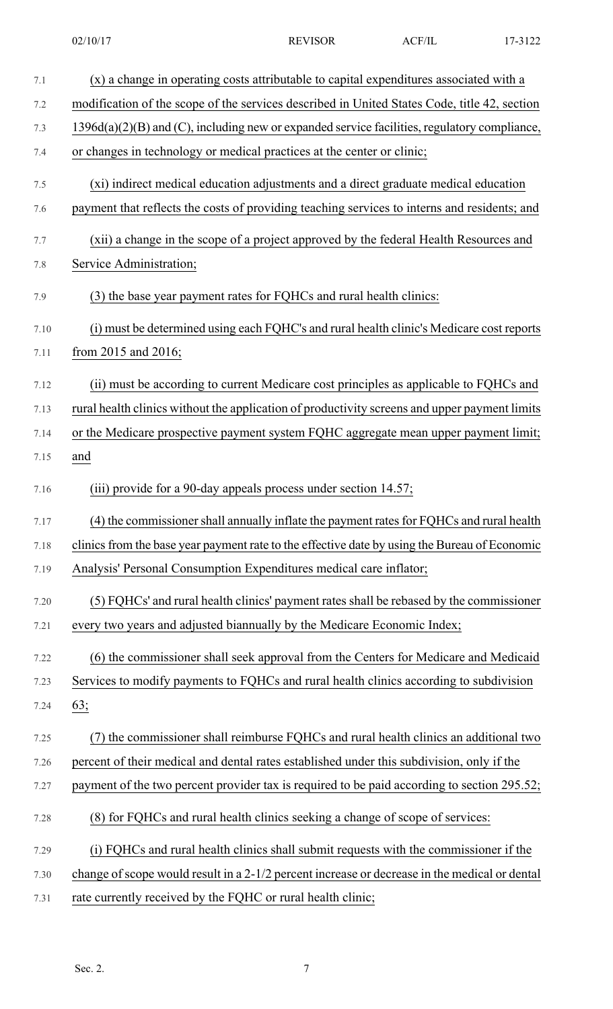| 7.1  | (x) a change in operating costs attributable to capital expenditures associated with a         |
|------|------------------------------------------------------------------------------------------------|
| 7.2  | modification of the scope of the services described in United States Code, title 42, section   |
| 7.3  | $1396d(a)(2)(B)$ and (C), including new or expanded service facilities, regulatory compliance, |
| 7.4  | or changes in technology or medical practices at the center or clinic;                         |
| 7.5  | (xi) indirect medical education adjustments and a direct graduate medical education            |
| 7.6  | payment that reflects the costs of providing teaching services to interns and residents; and   |
| 7.7  | (xii) a change in the scope of a project approved by the federal Health Resources and          |
| 7.8  | Service Administration;                                                                        |
| 7.9  | (3) the base year payment rates for FQHCs and rural health clinics:                            |
| 7.10 | (i) must be determined using each FQHC's and rural health clinic's Medicare cost reports       |
| 7.11 | from 2015 and 2016;                                                                            |
| 7.12 | (ii) must be according to current Medicare cost principles as applicable to FQHCs and          |
| 7.13 | rural health clinics without the application of productivity screens and upper payment limits  |
| 7.14 | or the Medicare prospective payment system FQHC aggregate mean upper payment limit;            |
| 7.15 | and                                                                                            |
| 7.16 | (iii) provide for a 90-day appeals process under section 14.57;                                |
| 7.17 | (4) the commissioner shall annually inflate the payment rates for FQHCs and rural health       |
| 7.18 | clinics from the base year payment rate to the effective date by using the Bureau of Economic  |
| 7.19 | Analysis' Personal Consumption Expenditures medical care inflator;                             |
| 7.20 | (5) FQHCs' and rural health clinics' payment rates shall be rebased by the commissioner        |
| 7.21 | every two years and adjusted biannually by the Medicare Economic Index;                        |
| 7.22 | (6) the commissioner shall seek approval from the Centers for Medicare and Medicaid            |
| 7.23 | Services to modify payments to FQHCs and rural health clinics according to subdivision         |
| 7.24 | 63;                                                                                            |
| 7.25 | (7) the commissioner shall reimburse FQHCs and rural health clinics an additional two          |
| 7.26 | percent of their medical and dental rates established under this subdivision, only if the      |
| 7.27 | payment of the two percent provider tax is required to be paid according to section 295.52;    |
| 7.28 | (8) for FQHCs and rural health clinics seeking a change of scope of services:                  |
| 7.29 | (i) FQHCs and rural health clinics shall submit requests with the commissioner if the          |
| 7.30 | change of scope would result in a 2-1/2 percent increase or decrease in the medical or dental  |
| 7.31 | rate currently received by the FQHC or rural health clinic;                                    |